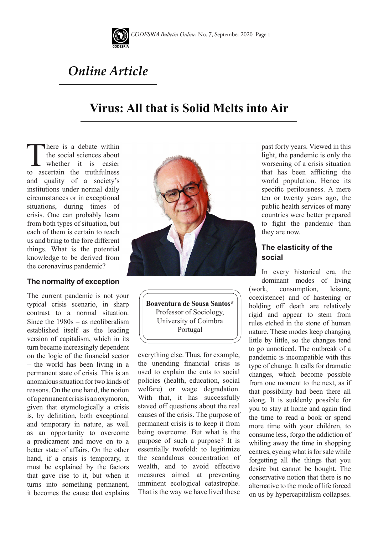

# *Online Article*

## **Virus: All that is Solid Melts into Air**

There is a debate within<br>the social sciences about<br>whether it is easier<br>to ascertain the truthfulness the social sciences about whether it is easier and quality of a society's institutions under normal daily circumstances or in exceptional situations, during times of crisis. One can probably learn from both types of situation, but each of them is certain to teach us and bring to the fore different things. What is the potential knowledge to be derived from the coronavirus pandemic?

#### **The normality of exception**

The current pandemic is not your typical crisis scenario, in sharp contrast to a normal situation. Since the 1980s – as neoliberalism established itself as the leading version of capitalism, which in its turn became increasingly dependent on the logic of the financial sector – the world has been living in a permanent state of crisis. This is an anomalous situation for two kinds of reasons. On the one hand, the notion of a permanent crisis is an oxymoron, given that etymologically a crisis is, by definition, both exceptional and temporary in nature, as well as an opportunity to overcome a predicament and move on to a better state of affairs. On the other hand, if a crisis is temporary, it must be explained by the factors that gave rise to it, but when it turns into something permanent, it becomes the cause that explains



**Boaventura de Sousa Santos\*** Professor of Sociology, University of Coimbra Portugal

everything else. Thus, for example, the unending financial crisis is used to explain the cuts to social policies (health, education, social welfare) or wage degradation. With that, it has successfully staved off questions about the real causes of the crisis. The purpose of permanent crisis is to keep it from being overcome. But what is the purpose of such a purpose? It is essentially twofold: to legitimize the scandalous concentration of wealth, and to avoid effective measures aimed at preventing imminent ecological catastrophe. That is the way we have lived these

past forty years. Viewed in this light, the pandemic is only the worsening of a crisis situation that has been afflicting the world population. Hence its specific perilousness. A mere ten or twenty years ago, the public health services of many countries were better prepared to fight the pandemic than they are now.

## **The elasticity of the social**

In every historical era, the dominant modes of living (work, consumption, leisure, coexistence) and of hastening or holding off death are relatively rigid and appear to stem from rules etched in the stone of human nature. These modes keep changing little by little, so the changes tend to go unnoticed. The outbreak of a pandemic is incompatible with this type of change. It calls for dramatic changes, which become possible from one moment to the next, as if that possibility had been there all along. It is suddenly possible for you to stay at home and again find the time to read a book or spend more time with your children, to consume less, forgo the addiction of whiling away the time in shopping centres, eyeing what is for sale while forgetting all the things that you desire but cannot be bought. The conservative notion that there is no alternative to the mode of life forced on us by hypercapitalism collapses.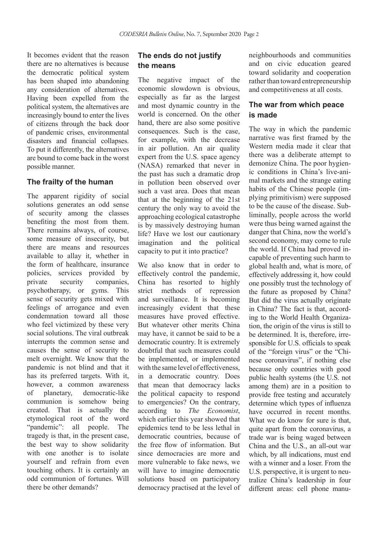It becomes evident that the reason there are no alternatives is because the democratic political system has been shaped into abandoning any consideration of alternatives. Having been expelled from the political system, the alternatives are increasingly bound to enter the lives of citizens through the back door of pandemic crises, environmental disasters and financial collapses. To put it differently, the alternatives are bound to come back in the worst possible manner.

#### **The frailty of the human**

The apparent rigidity of social solutions generates an odd sense of security among the classes benefiting the most from them. There remains always, of course, some measure of insecurity, but there are means and resources available to allay it, whether in the form of healthcare, insurance policies, services provided by private security companies, psychotherapy, or gyms. This sense of security gets mixed with feelings of arrogance and even condemnation toward all those who feel victimized by these very social solutions. The viral outbreak interrupts the common sense and causes the sense of security to melt overnight. We know that the pandemic is not blind and that it has its preferred targets. With it, however, a common awareness of planetary, democratic-like communion is somehow being created. That is actually the etymological root of the word "pandemic": all people. The tragedy is that, in the present case, the best way to show solidarity with one another is to isolate yourself and refrain from even touching others. It is certainly an odd communion of fortunes. Will there be other demands?

## **The ends do not justify the means**

The negative impact of the economic slowdown is obvious, especially as far as the largest and most dynamic country in the world is concerned. On the other hand, there are also some positive consequences. Such is the case, for example, with the decrease in air pollution. An air quality expert from the U.S. space agency (NASA) remarked that never in the past has such a dramatic drop in pollution been observed over such a vast area. Does that mean that at the beginning of the 21st century the only way to avoid the approaching ecological catastrophe is by massively destroying human life? Have we lost our cautionary imagination and the political capacity to put it into practice?

We also know that in order to effectively control the pandemic, China has resorted to highly strict methods of repression and surveillance. It is becoming increasingly evident that these measures have proved effective. But whatever other merits China may have, it cannot be said to be a democratic country. It is extremely doubtful that such measures could be implemented, or implemented with the same level of effectiveness, in a democratic country. Does that mean that democracy lacks the political capacity to respond to emergencies? On the contrary, according to *The Economist*, which earlier this year showed that epidemics tend to be less lethal in democratic countries, because of the free flow of information. But since democracies are more and more vulnerable to fake news, we will have to imagine democratic solutions based on participatory democracy practised at the level of neighbourhoods and communities and on civic education geared toward solidarity and cooperation rather than toward entrepreneurship and competitiveness at all costs.

## **The war from which peace is made**

The way in which the pandemic narrative was first framed by the Western media made it clear that there was a deliberate attempt to demonize China. The poor hygienic conditions in China's live-animal markets and the strange eating habits of the Chinese people (implying primitivism) were supposed to be the cause of the disease. Subliminally, people across the world were thus being warned against the danger that China, now the world's second economy, may come to rule the world. If China had proved incapable of preventing such harm to global health and, what is more, of effectively addressing it, how could one possibly trust the technology of the future as proposed by China? But did the virus actually originate in China? The fact is that, according to the World Health Organization, the origin of the virus is still to be determined. It is, therefore, irresponsible for U.S. officials to speak of the "foreign virus" or the "Chinese coronavirus", if nothing else because only countries with good public health systems (the U.S. not among them) are in a position to provide free testing and accurately determine which types of influenza have occurred in recent months. What we do know for sure is that. quite apart from the coronavirus, a trade war is being waged between China and the U.S., an all-out war which, by all indications, must end with a winner and a loser. From the U.S. perspective, it is urgent to neutralize China's leadership in four different areas: cell phone manu-